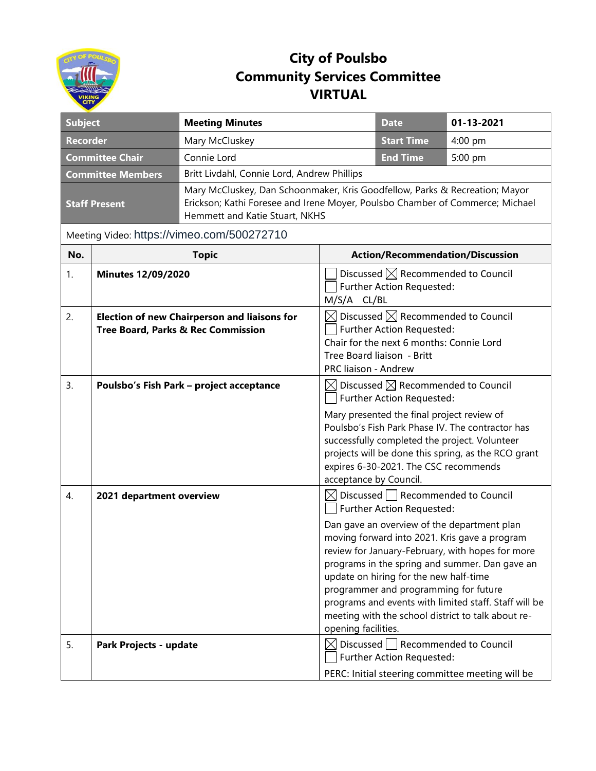

## **City of Poulsbo Community Services Committee VIRTUAL**

| <b>Subject</b>                             |                                                                                           | <b>Meeting Minutes</b>                                                                                                                                                                         |                                                                                                                                                                                         | <b>Date</b>                                                                                                                                                                  | 01-13-2021                                                                                                                                                                                                                                                                                                        |  |
|--------------------------------------------|-------------------------------------------------------------------------------------------|------------------------------------------------------------------------------------------------------------------------------------------------------------------------------------------------|-----------------------------------------------------------------------------------------------------------------------------------------------------------------------------------------|------------------------------------------------------------------------------------------------------------------------------------------------------------------------------|-------------------------------------------------------------------------------------------------------------------------------------------------------------------------------------------------------------------------------------------------------------------------------------------------------------------|--|
| <b>Recorder</b>                            |                                                                                           | Mary McCluskey                                                                                                                                                                                 |                                                                                                                                                                                         | <b>Start Time</b>                                                                                                                                                            | 4:00 pm                                                                                                                                                                                                                                                                                                           |  |
| <b>Committee Chair</b>                     |                                                                                           | Connie Lord                                                                                                                                                                                    |                                                                                                                                                                                         | <b>End Time</b>                                                                                                                                                              | 5:00 pm                                                                                                                                                                                                                                                                                                           |  |
| <b>Committee Members</b>                   |                                                                                           | Britt Livdahl, Connie Lord, Andrew Phillips                                                                                                                                                    |                                                                                                                                                                                         |                                                                                                                                                                              |                                                                                                                                                                                                                                                                                                                   |  |
| <b>Staff Present</b>                       |                                                                                           | Mary McCluskey, Dan Schoonmaker, Kris Goodfellow, Parks & Recreation; Mayor<br>Erickson; Kathi Foresee and Irene Moyer, Poulsbo Chamber of Commerce; Michael<br>Hemmett and Katie Stuart, NKHS |                                                                                                                                                                                         |                                                                                                                                                                              |                                                                                                                                                                                                                                                                                                                   |  |
| Meeting Video: https://vimeo.com/500272710 |                                                                                           |                                                                                                                                                                                                |                                                                                                                                                                                         |                                                                                                                                                                              |                                                                                                                                                                                                                                                                                                                   |  |
| No.                                        |                                                                                           | <b>Topic</b>                                                                                                                                                                                   |                                                                                                                                                                                         | <b>Action/Recommendation/Discussion</b>                                                                                                                                      |                                                                                                                                                                                                                                                                                                                   |  |
| 1.                                         | <b>Minutes 12/09/2020</b>                                                                 |                                                                                                                                                                                                | Discussed $\boxtimes$ Recommended to Council<br>Further Action Requested:<br>M/S/A CL/BL                                                                                                |                                                                                                                                                                              |                                                                                                                                                                                                                                                                                                                   |  |
| 2.                                         | <b>Election of new Chairperson and liaisons for</b><br>Tree Board, Parks & Rec Commission |                                                                                                                                                                                                | $\boxtimes$ Discussed $\boxtimes$ Recommended to Council<br>Further Action Requested:<br>Chair for the next 6 months: Connie Lord<br>Tree Board liaison - Britt<br>PRC liaison - Andrew |                                                                                                                                                                              |                                                                                                                                                                                                                                                                                                                   |  |
| 3.                                         |                                                                                           | Poulsbo's Fish Park - project acceptance                                                                                                                                                       | acceptance by Council.                                                                                                                                                                  | $\boxtimes$ Discussed $\boxtimes$ Recommended to Council<br>Further Action Requested:<br>Mary presented the final project review of<br>expires 6-30-2021. The CSC recommends | Poulsbo's Fish Park Phase IV. The contractor has<br>successfully completed the project. Volunteer<br>projects will be done this spring, as the RCO grant                                                                                                                                                          |  |
| 4.                                         | 2021 department overview                                                                  |                                                                                                                                                                                                | opening facilities.                                                                                                                                                                     | $\boxtimes$ Discussed $\Box$ Recommended to Council<br>Further Action Requested:<br>update on hiring for the new half-time<br>programmer and programming for future          | Dan gave an overview of the department plan<br>moving forward into 2021. Kris gave a program<br>review for January-February, with hopes for more<br>programs in the spring and summer. Dan gave an<br>programs and events with limited staff. Staff will be<br>meeting with the school district to talk about re- |  |
| 5.                                         | Park Projects - update                                                                    |                                                                                                                                                                                                |                                                                                                                                                                                         | $\boxtimes$ Discussed Recommended to Council<br>Further Action Requested:                                                                                                    | PERC: Initial steering committee meeting will be                                                                                                                                                                                                                                                                  |  |